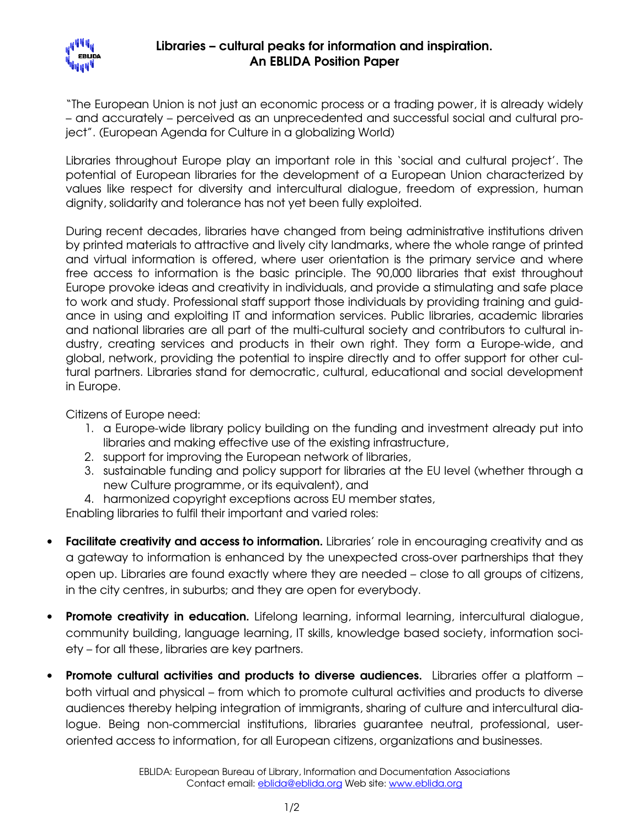

"The European Union is not just an economic process or a trading power, it is already widely – and accurately – perceived as an unprecedented and successful social and cultural project". (European Agenda for Culture in a globalizing World)

Libraries throughout Europe play an important role in this 'social and cultural project'. The potential of European libraries for the development of a European Union characterized by values like respect for diversity and intercultural dialogue, freedom of expression, human dignity, solidarity and tolerance has not yet been fully exploited.

During recent decades, libraries have changed from being administrative institutions driven by printed materials to attractive and lively city landmarks, where the whole range of printed and virtual information is offered, where user orientation is the primary service and where free access to information is the basic principle. The 90,000 libraries that exist throughout Europe provoke ideas and creativity in individuals, and provide a stimulating and safe place to work and study. Professional staff support those individuals by providing training and guidance in using and exploiting IT and information services. Public libraries, academic libraries and national libraries are all part of the multi-cultural society and contributors to cultural industry, creating services and products in their own right. They form a Europe-wide, and global, network, providing the potential to inspire directly and to offer support for other cultural partners. Libraries stand for democratic, cultural, educational and social development in Europe.

Citizens of Europe need:

- 1. a Europe-wide library policy building on the funding and investment already put into libraries and making effective use of the existing infrastructure,
- 2. support for improving the European network of libraries,
- 3. sustainable funding and policy support for libraries at the EU level (whether through a new Culture programme, or its equivalent), and
- 4. harmonized copyright exceptions across EU member states,

Enabling libraries to fulfil their important and varied roles:

- Facilitate creativity and access to information. Libraries' role in encouraging creativity and as a gateway to information is enhanced by the unexpected cross-over partnerships that they open up. Libraries are found exactly where they are needed – close to all groups of citizens, in the city centres, in suburbs; and they are open for everybody.
- Promote creativity in education. Lifelong learning, informal learning, intercultural dialogue, community building, language learning, IT skills, knowledge based society, information society – for all these, libraries are key partners.
- Promote cultural activities and products to diverse audiences. Libraries offer a platform both virtual and physical – from which to promote cultural activities and products to diverse audiences thereby helping integration of immigrants, sharing of culture and intercultural dialogue. Being non-commercial institutions, libraries guarantee neutral, professional, useroriented access to information, for all European citizens, organizations and businesses.